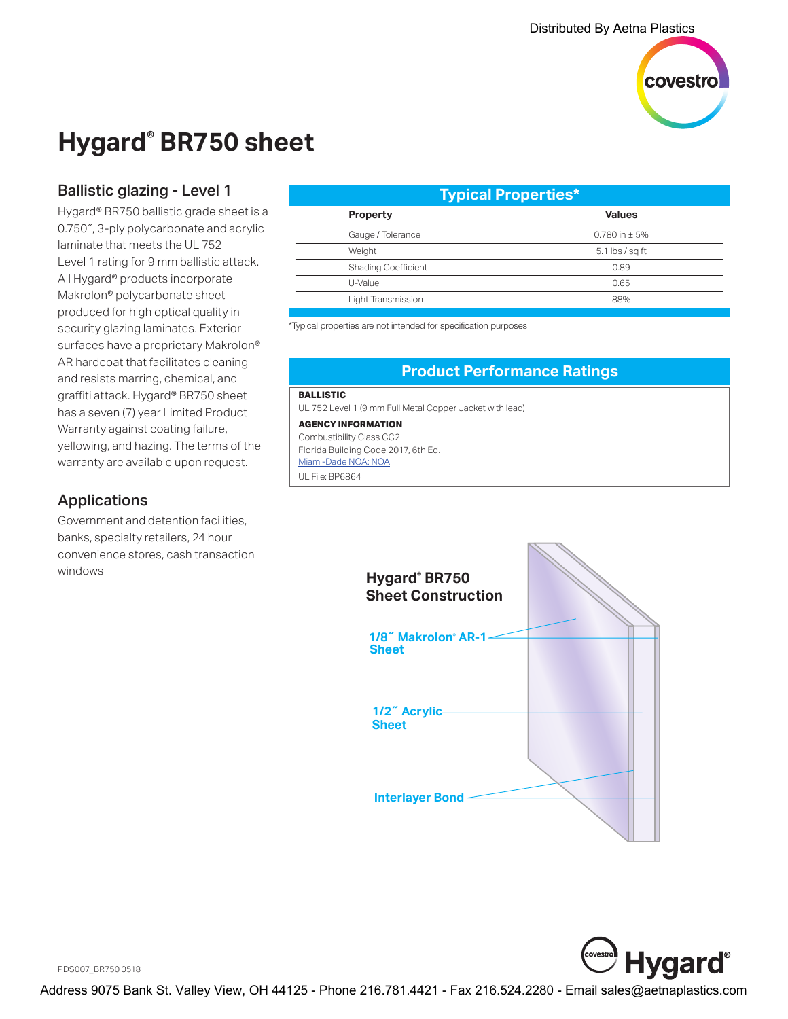

## **Hygard® BR750 sheet**

## Ballistic glazing - Level 1

Hygard® BR750 ballistic grade sheet is a 0.750˝, 3-ply polycarbonate and acrylic laminate that meets the UL 752 Level 1 rating for 9 mm ballistic attack. All Hygard® products incorporate Makrolon® polycarbonate sheet produced for high optical quality in security glazing laminates. Exterior surfaces have a proprietary Makrolon<sup>®</sup> AR hardcoat that facilitates cleaning and resists marring, chemical, and graffiti attack. Hygard® BR750 sheet has a seven (7) year Limited Product Warranty against coating failure, yellowing, and hazing. The terms of the warranty are available upon request.

## Applications

Government and detention facilities, banks, specialty retailers, 24 hour convenience stores, cash transaction windows

| <b>Typical Properties*</b> |                   |
|----------------------------|-------------------|
| <b>Property</b>            | <b>Values</b>     |
| Gauge / Tolerance          | 0.780 in $\pm$ 5% |
| Weight                     | $5.1$ lbs / sq ft |
| <b>Shading Coefficient</b> | 0.89              |
| U-Value                    | 0.65              |
| Light Transmission         | 88%               |
|                            |                   |

\*Typical properties are not intended for specification purposes

### **Product Performance Ratings**

#### **BALLISTIC**

UL 752 Level 1 (9 mm Full Metal Copper Jacket with lead)

**AGENCY INFORMATION** Combustibility Class CC2

Florida Building Code 2017, 6th Ed. [Miami-Dade NOA: NOA](http://www.miamidade.gov/building/pc-result_app.asp?fldNOA=&Classification=0%2CUnknown+%2F+Unselected%2C1&AdvancedSearch=Go&applicantlist=101475&categorylist=0&subcategorylist=0&materiallist=0&impactlist=0&fldMDPP=0.00&fldMDPN=0.00) UL File: BP6864





PDS007\_BR750 0518